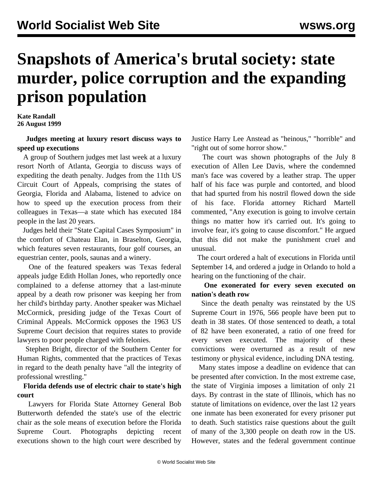# **Snapshots of America's brutal society: state murder, police corruption and the expanding prison population**

**Kate Randall 26 August 1999**

 **Judges meeting at luxury resort discuss ways to speed up executions**

 A group of Southern judges met last week at a luxury resort North of Atlanta, Georgia to discuss ways of expediting the death penalty. Judges from the 11th US Circuit Court of Appeals, comprising the states of Georgia, Florida and Alabama, listened to advice on how to speed up the execution process from their colleagues in Texas—a state which has executed 184 people in the last 20 years.

 Judges held their "State Capital Cases Symposium" in the comfort of Chateau Elan, in Braselton, Georgia, which features seven restaurants, four golf courses, an equestrian center, pools, saunas and a winery.

 One of the featured speakers was Texas federal appeals judge Edith Hollan Jones, who reportedly once complained to a defense attorney that a last-minute appeal by a death row prisoner was keeping her from her child's birthday party. Another speaker was Michael McCormick, presiding judge of the Texas Court of Criminal Appeals. McCormick opposes the 1963 US Supreme Court decision that requires states to provide lawyers to poor people charged with felonies.

 Stephen Bright, director of the Southern Center for Human Rights, commented that the practices of Texas in regard to the death penalty have "all the integrity of professional wrestling."

### **Florida defends use of electric chair to state's high court**

 Lawyers for Florida State Attorney General Bob Butterworth defended the state's use of the electric chair as the sole means of execution before the Florida Supreme Court. Photographs depicting recent executions shown to the high court were described by Justice Harry Lee Anstead as "heinous," "horrible" and "right out of some horror show."

 The court was shown photographs of the July 8 execution of Allen Lee Davis, where the condemned man's face was covered by a leather strap. The upper half of his face was purple and contorted, and blood that had spurted from his nostril flowed down the side of his face. Florida attorney Richard Martell commented, "Any execution is going to involve certain things no matter how it's carried out. It's going to involve fear, it's going to cause discomfort." He argued that this did not make the punishment cruel and unusual.

 The court ordered a halt of executions in Florida until September 14, and ordered a judge in Orlando to hold a hearing on the functioning of the chair.

#### **One exonerated for every seven executed on nation's death row**

 Since the death penalty was reinstated by the US Supreme Court in 1976, 566 people have been put to death in 38 states. Of those sentenced to death, a total of 82 have been exonerated, a ratio of one freed for every seven executed. The majority of these convictions were overturned as a result of new testimony or physical evidence, including DNA testing.

 Many states impose a deadline on evidence that can be presented after conviction. In the most extreme case, the state of Virginia imposes a limitation of only 21 days. By contrast in the state of Illinois, which has no statute of limitations on evidence, over the last 12 years one inmate has been exonerated for every prisoner put to death. Such statistics raise questions about the guilt of many of the 3,300 people on death row in the US. However, states and the federal government continue